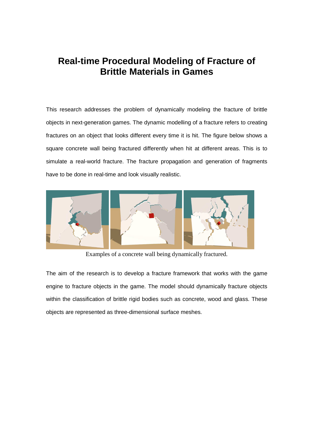## **Real-time Procedural Modeling of Fracture of Brittle Materials in Games**

This research addresses the problem of dynamically modeling the fracture of brittle objects in next-generation games. The dynamic modelling of a fracture refers to creating fractures on an object that looks different every time it is hit. The figure below shows a square concrete wall being fractured differently when hit at different areas. This is to simulate a real-world fracture. The fracture propagation and generation of fragments have to be done in real-time and look visually realistic.



Examples of a concrete wall being dynamically fractured.

The aim of the research is to develop a fracture framework that works with the game engine to fracture objects in the game. The model should dynamically fracture objects within the classification of brittle rigid bodies such as concrete, wood and glass. These objects are represented as three-dimensional surface meshes.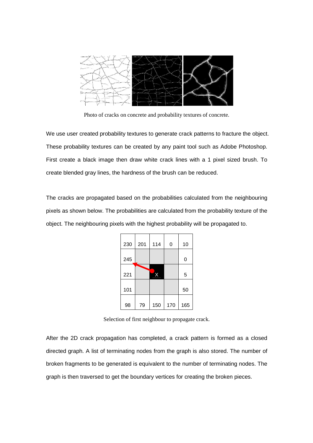

Photo of cracks on concrete and probability textures of concrete.

We use user created probability textures to generate crack patterns to fracture the object. These probability textures can be created by any paint tool such as Adobe Photoshop. First create a black image then draw white crack lines with a 1 pixel sized brush. To create blended gray lines, the hardness of the brush can be reduced.

The cracks are propagated based on the probabilities calculated from the neighbouring pixels as shown below. The probabilities are calculated from the probability texture of the object. The neighbouring pixels with the highest probability will be propagated to.

| 230 | 201 | 114 | 0   | 10  |
|-----|-----|-----|-----|-----|
| 245 |     |     |     | 0   |
| 221 |     | x   |     | 5   |
| 101 |     |     |     | 50  |
| 98  | 79  | 150 | 170 | 165 |

Selection of first neighbour to propagate crack.

After the 2D crack propagation has completed, a crack pattern is formed as a closed directed graph. A list of terminating nodes from the graph is also stored. The number of broken fragments to be generated is equivalent to the number of terminating nodes. The graph is then traversed to get the boundary vertices for creating the broken pieces.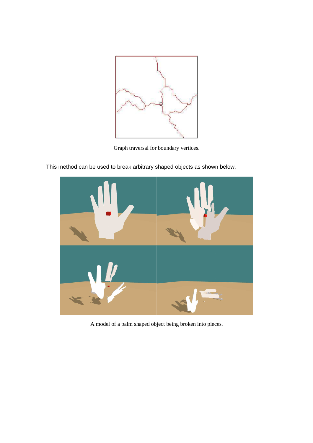

Graph traversal for boundary vertices.

This method can be used to break arbitrary shaped objects as shown below.



A model of a palm shaped object being broken into pieces.